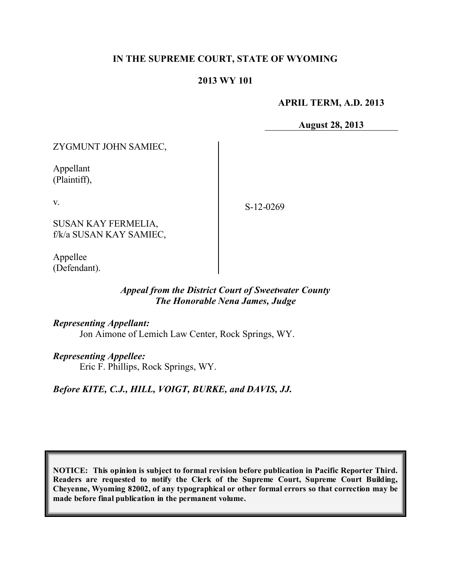# **IN THE SUPREME COURT, STATE OF WYOMING**

### **2013 WY 101**

**APRIL TERM, A.D. 2013**

**August 28, 2013**

ZYGMUNT JOHN SAMIEC,

Appellant (Plaintiff),

v.

S-12-0269

SUSAN KAY FERMELIA, f/k/a SUSAN KAY SAMIEC,

Appellee (Defendant).

# *Appeal from the District Court of Sweetwater County The Honorable Nena James, Judge*

*Representing Appellant:*

Jon Aimone of Lemich Law Center, Rock Springs, WY.

### *Representing Appellee:*

Eric F. Phillips, Rock Springs, WY.

*Before KITE, C.J., HILL, VOIGT, BURKE, and DAVIS, JJ.*

**NOTICE: This opinion is subject to formal revision before publication in Pacific Reporter Third. Readers are requested to notify the Clerk of the Supreme Court, Supreme Court Building, Cheyenne, Wyoming 82002, of any typographical or other formal errors so that correction may be made before final publication in the permanent volume.**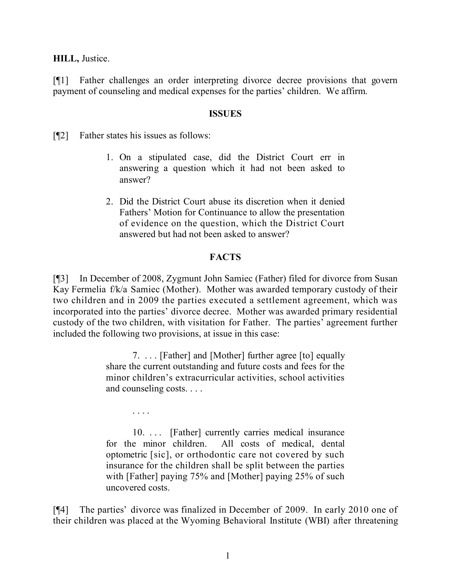### **HILL,** Justice.

[¶1] Father challenges an order interpreting divorce decree provisions that govern payment of counseling and medical expenses for the parties' children. We affirm.

#### **ISSUES**

[¶2] Father states his issues as follows:

. . . .

- 1. On a stipulated case, did the District Court err in answering a question which it had not been asked to answer?
- 2. Did the District Court abuse its discretion when it denied Fathers' Motion for Continuance to allow the presentation of evidence on the question, which the District Court answered but had not been asked to answer?

### **FACTS**

[¶3] In December of 2008, Zygmunt John Samiec (Father) filed for divorce from Susan Kay Fermelia f/k/a Samiec (Mother). Mother was awarded temporary custody of their two children and in 2009 the parties executed a settlement agreement, which was incorporated into the parties' divorce decree. Mother was awarded primary residential custody of the two children, with visitation for Father. The parties' agreement further included the following two provisions, at issue in this case:

> 7. . . . [Father] and [Mother] further agree [to] equally share the current outstanding and future costs and fees for the minor children's extracurricular activities, school activities and counseling costs. . . .

> 10. . . . [Father] currently carries medical insurance for the minor children. All costs of medical, dental optometric [sic], or orthodontic care not covered by such insurance for the children shall be split between the parties with [Father] paying 75% and [Mother] paying 25% of such uncovered costs.

[¶4] The parties' divorce was finalized in December of 2009. In early 2010 one of their children was placed at the Wyoming Behavioral Institute (WBI) after threatening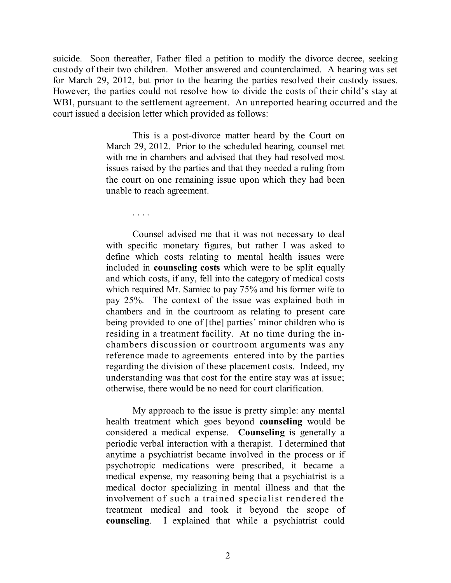suicide. Soon thereafter, Father filed a petition to modify the divorce decree, seeking custody of their two children. Mother answered and counterclaimed. A hearing was set for March 29, 2012, but prior to the hearing the parties resolved their custody issues. However, the parties could not resolve how to divide the costs of their child's stay at WBI, pursuant to the settlement agreement. An unreported hearing occurred and the court issued a decision letter which provided as follows:

> This is a post-divorce matter heard by the Court on March 29, 2012. Prior to the scheduled hearing, counsel met with me in chambers and advised that they had resolved most issues raised by the parties and that they needed a ruling from the court on one remaining issue upon which they had been unable to reach agreement.

> > . . . .

Counsel advised me that it was not necessary to deal with specific monetary figures, but rather I was asked to define which costs relating to mental health issues were included in **counseling costs** which were to be split equally and which costs, if any, fell into the category of medical costs which required Mr. Samiec to pay 75% and his former wife to pay 25%. The context of the issue was explained both in chambers and in the courtroom as relating to present care being provided to one of [the] parties' minor children who is residing in a treatment facility. At no time during the inchambers discussion or courtroom arguments was any reference made to agreements entered into by the parties regarding the division of these placement costs. Indeed, my understanding was that cost for the entire stay was at issue; otherwise, there would be no need for court clarification.

My approach to the issue is pretty simple: any mental health treatment which goes beyond **counseling** would be considered a medical expense. **Counseling** is generally a periodic verbal interaction with a therapist. I determined that anytime a psychiatrist became involved in the process or if psychotropic medications were prescribed, it became a medical expense, my reasoning being that a psychiatrist is a medical doctor specializing in mental illness and that the involvement of such a trained specialist rendered the treatment medical and took it beyond the scope of **counseling**. I explained that while a psychiatrist could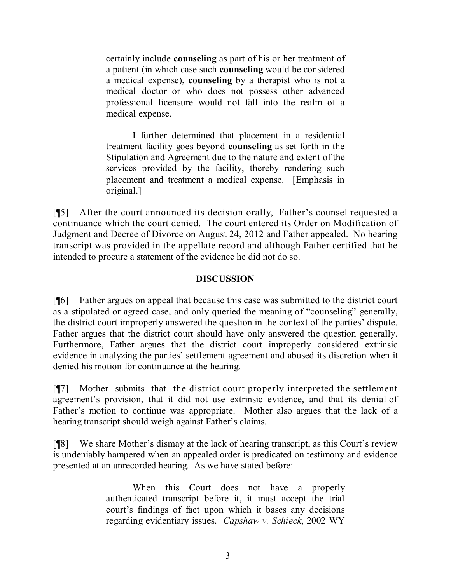certainly include **counseling** as part of his or her treatment of a patient (in which case such **counseling** would be considered a medical expense), **counseling** by a therapist who is not a medical doctor or who does not possess other advanced professional licensure would not fall into the realm of a medical expense.

I further determined that placement in a residential treatment facility goes beyond **counseling** as set forth in the Stipulation and Agreement due to the nature and extent of the services provided by the facility, thereby rendering such placement and treatment a medical expense. [Emphasis in original.]

[¶5] After the court announced its decision orally, Father's counsel requested a continuance which the court denied. The court entered its Order on Modification of Judgment and Decree of Divorce on August 24, 2012 and Father appealed. No hearing transcript was provided in the appellate record and although Father certified that he intended to procure a statement of the evidence he did not do so.

# **DISCUSSION**

[¶6] Father argues on appeal that because this case was submitted to the district court as a stipulated or agreed case, and only queried the meaning of "counseling" generally, the district court improperly answered the question in the context of the parties' dispute. Father argues that the district court should have only answered the question generally. Furthermore, Father argues that the district court improperly considered extrinsic evidence in analyzing the parties' settlement agreement and abused its discretion when it denied his motion for continuance at the hearing.

[¶7] Mother submits that the district court properly interpreted the settlement agreement's provision, that it did not use extrinsic evidence, and that its denial of Father's motion to continue was appropriate. Mother also argues that the lack of a hearing transcript should weigh against Father's claims.

[¶8] We share Mother's dismay at the lack of hearing transcript, as this Court's review is undeniably hampered when an appealed order is predicated on testimony and evidence presented at an unrecorded hearing. As we have stated before:

> When this Court does not have a properly authenticated transcript before it, it must accept the trial court's findings of fact upon which it bases any decisions regarding evidentiary issues. *Capshaw v. Schieck*, 2002 WY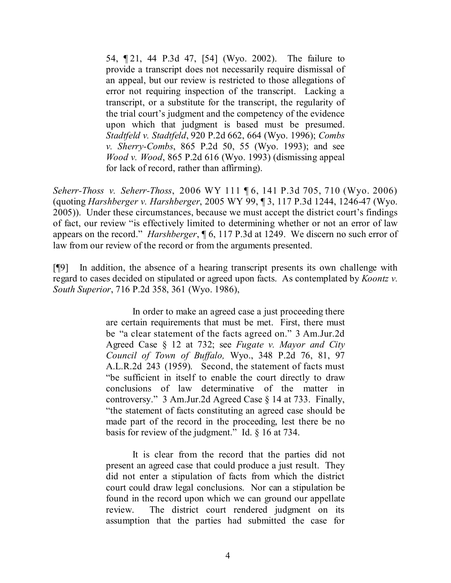54, ¶ 21, 44 P.3d 47, [54] (Wyo. 2002). The failure to provide a transcript does not necessarily require dismissal of an appeal, but our review is restricted to those allegations of error not requiring inspection of the transcript. Lacking a transcript, or a substitute for the transcript, the regularity of the trial court's judgment and the competency of the evidence upon which that judgment is based must be presumed. *Stadtfeld v. Stadtfeld*, 920 P.2d 662, 664 (Wyo. 1996); *Combs v. Sherry-Combs*, 865 P.2d 50, 55 (Wyo. 1993); and see *Wood v. Wood*, 865 P.2d 616 (Wyo. 1993) (dismissing appeal for lack of record, rather than affirming).

*Seherr-Thoss v. Seherr-Thoss*, 2006 WY 111 ¶ 6, 141 P.3d 705, 710 (Wyo. 2006) (quoting *Harshberger v. Harshberger*, 2005 WY 99, ¶ 3, 117 P.3d 1244, 1246-47 (Wyo. 2005)). Under these circumstances, because we must accept the district court's findings of fact, our review "is effectively limited to determining whether or not an error of law appears on the record." *Harshberger*, ¶ 6, 117 P.3d at 1249. We discern no such error of law from our review of the record or from the arguments presented.

[¶9] In addition, the absence of a hearing transcript presents its own challenge with regard to cases decided on stipulated or agreed upon facts. As contemplated by *Koontz v. South Superior*, 716 P.2d 358, 361 (Wyo. 1986),

> In order to make an agreed case a just proceeding there are certain requirements that must be met. First, there must be "a clear statement of the facts agreed on." 3 Am.Jur.2d Agreed Case § 12 at 732; see *Fugate v. Mayor and City Council of Town of Buffalo,* Wyo., 348 P.2d 76, 81, 97 A.L.R.2d 243 (1959). Second, the statement of facts must "be sufficient in itself to enable the court directly to draw conclusions of law determinative of the matter in controversy." 3 Am.Jur.2d Agreed Case § 14 at 733. Finally, "the statement of facts constituting an agreed case should be made part of the record in the proceeding, lest there be no basis for review of the judgment." Id. § 16 at 734.

> It is clear from the record that the parties did not present an agreed case that could produce a just result. They did not enter a stipulation of facts from which the district court could draw legal conclusions. Nor can a stipulation be found in the record upon which we can ground our appellate review. The district court rendered judgment on its assumption that the parties had submitted the case for